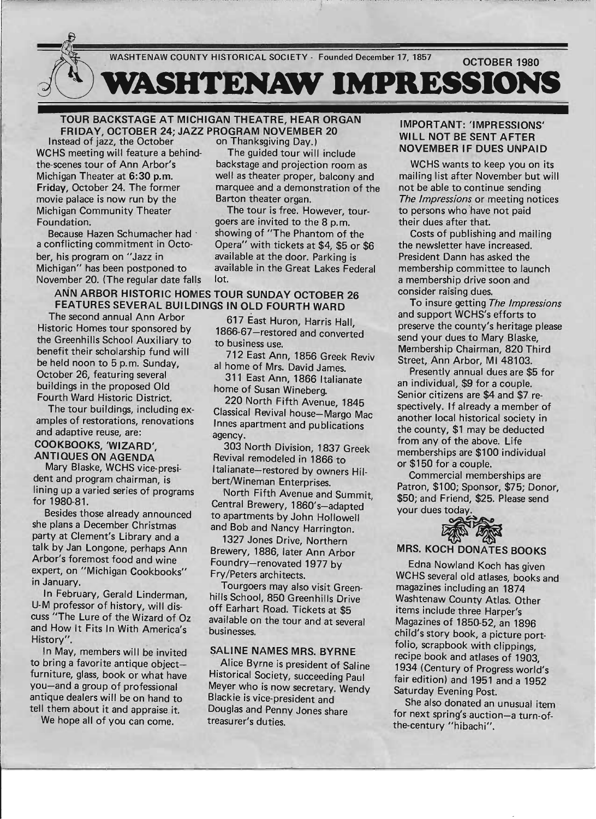

..... , . . ' ", ...... .. ....... ---~-,..

### TOUR BACKSTAGE AT MICHIGAN THEATRE, HEAR ORGAN FRIDAY, OCTOBER 24; JAZZ PROGRAM NOVEMBER 20<br>stead of jazz, the October on Thanksgiving Day.)

Instead of jazz, the October WCHS meeting will feature a behind-<br>The guided tour will include the-scenes tour of Ann Arbor's backstage and projection room as Michigan Theater at 6:30 p.m. well as theater proper, balcony and movie palace is now run by the Barton theater organ. Michigan Community Theater The tour is free. However, tour-Foundation. **Foundation** goers are invited to the 8 p.m.

Because Hazen Schumacher had showing of "The Phantom of the a conflicting commitment in Octo- Opera" with tickets at \$4, \$5 or \$6 ber, his program on "Jazz in available at the door. Parking is Michigan" has been postponed to available in the Great Lakes Federal November 20. (The regular date falls lot.

### ANN ARBOR HISTORIC HOMES TOUR SUNDAY OCTOBER 26 FEATURES SEVERAL BUILDINGS IN OLD FOURTH WARD

The second annual Ann Arbor Historic Homes tour sponsored by the Greenhills School Auxiliary to benefit their scholarship fund will be held noon to 5 p.m. Sunday, October 26, featuring several buildings in the proposed Old Fourth Ward Historic District.

The tour buildings, including examples of restorations, renovations and adaptive reuse, are:

### COOKBOOKS, 'WIZARD~, ANTIQUES ON AGENDA

Mary Blaske, WCHS vice-president and program chairman, is lining up a varied series of programs for 1980-81.

Besides those already announced she plans a December Christmas party at Clement's Library and a talk by Jan Longone, perhaps Ann Arbor's foremost food and wine expert, on "Michigan Cookbooks" in January.

In February, Gerald Linderman, U-M professor of history, will discuss "The Lure of the Wizard of Oz and How It Fits In With America's History". .

In May, members will be invited to bring a favorite antique objectfurniture, glass, book or what have you-and a group of professional antique dealers will be on hand to tell them about it and appraise. it.

We hope all of you can come.

Friday, October 24. The former marquee and a demonstration of the

617 East Huron, Harris Hall, 1866-67-restored and converted to business use.

712 East Ann, 1856 Greek Reviv al home of Mrs. David James.

311 East Ann, 1866 Italianate home of Susan Wineberg.

220 North Fifth Avenue, 1845 Classical Revival house-Margo Mac Innes apartment and publications agency.

303 North Division, 1837 Greek Revival remodeled in 1866 to Italianate-restored by owners Hilbert/Wineman Enterprises.

North Fifth Avenue and Summit, Central Brewery, 1860's-adapted to apartments by John Hollowell and Bob and Nancy Harrington.

1327 Jones Drive, Northern Brewery, 1886, later Ann Arbor Foundry-renovated 1977 by Fry/Peters architects.

Tourgoers may also visit Greenhills School, 850 Greenhills Drive off Earhart Road. Tickets at \$5 available on the tour and at several businesses.

### SALINE NAMES MRS. BYRNE

Alice Byrne is president of Saline Historical Society, succeeding Paul Meyer who is now secretary. Wendy Blackie is vice-president and Douglas and Penny Jones share treasurer's duties.

### IMPORTANT: 'IMPRESSIONS' WILL NOT BE SENT AFTER **NOVEMBER IF DUES UNPAID**

WCHS wants to keep you on its mailing list after November but will not be able to continue sending The Impressions or meeting notices to persons who have not paid their dues after that.

Costs of publishing and mailing the newsletter have increased. President Dann has asked the membership committee to launch a membership drive soon and consider raising dues.

To insure getting The Impressions and support WCHS's efforts to preserve the county's heritage please send your dues to Mary Blaske, Membership Chairman, 820 Third Street, Ann Arbor, MI 48103.

Presently annual dues are \$5 for an individual, \$9 for a couple. Senior citizens are \$4 and \$7 respectively. If already a member of another local historical society in the county, \$1 may be deducted from any of the above. Life' memberships are \$100 individual or \$150 for a couple.

Commercial memberships are Patron, \$100; Sponsor, \$75; Donor, \$50; and Friend, \$25. Please send or \$150 for a couple.<br>
Commercial memberships<br>
Patron, \$100; Sponsor, \$75;<br>
\$50; and Friend, \$25. Please<br>
your dues today.



### MRS. KOCH DONATES BOOKS

Edna Nowland Koch has given WCHS several old atlases, books and magazines including an 1874 Washtenaw County Atlas. Other items indude three Harper's Magazines of 1850-52, an 1896 child's story book, a picture portfolio, scrapbook with clippings, recipe book and atlases of 1903, 1934 (Century of Progress world's fair edition) and 1951 and a 1952 Saturday Evening Post.

She also donated an unusual item for next spring's auction-a turn-ofthe-century "hibachi".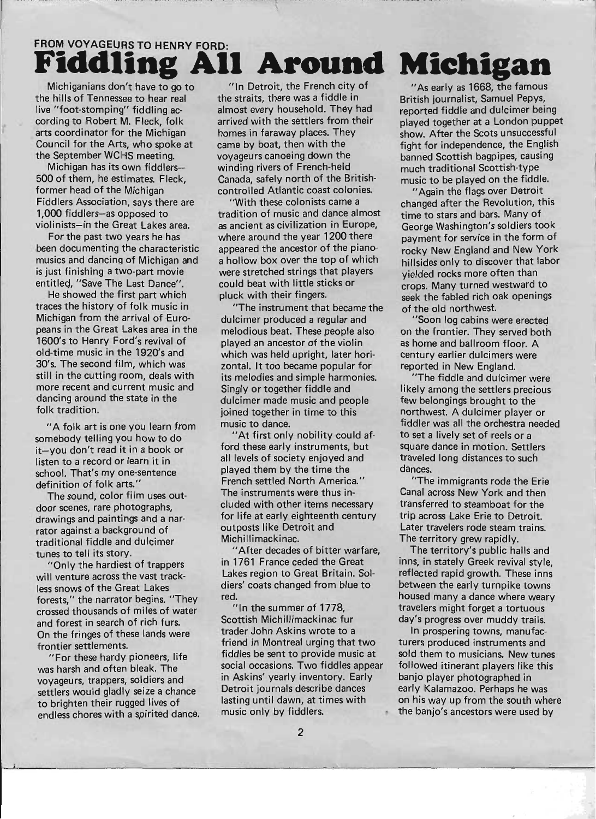# FROM VOYAGEURS TO HENRY FORD:

Michiganians don't have to go to the hills of Tennessee to hear real live "foot-stomping" fiddling according to Robert M. Fleck, folk arts coordinator for the Michigan Council for the Arts, who spoke at the September WCHS meeting.

Michigan has its own fiddlers-500 of them, he estimates. Fleck, former head of the Michigan Fiddlers Association, says there are 1,000 fiddlers-as opposed to violinists-in the Great Lakes area.

For the past two years he has been documenting the characteristic musics and dancing of Michigan and is just finishing a two-part movie entitled, "Save The Last Dance".

He showed the first part which traces the history of folk music in Michigan from the arrival of Europeans in the Great Lakes area in the 1600's to Henry Ford's revival of old-time music in the 1920's and 30's. The second film, which was still in the cutting room, deals with more recent and current music and dancing around the state in the folk tradition.

"A folk art is one you learn from somebody telling you how to do it-you don't read it in a book or listen to a record or learn it in school. That's my one-sentence definition of folk arts."

The sound, color film uses outdoor scenes, rare photographs, drawings and paintings and a narrator against a background of traditional fiddle and dulcimer tunes to tell its story.

"Only the hardiest of trappers will venture across the vast trackless snows of the Great Lakes forests," the narrator begins. "They crossed thousands of miles of water and forest in search of rich furs. On the fringes of these lands were frontier settlements.

"For these hardy pioneers, life was harsh and often bleak. The voyageurs, trappers, soldiers and settlers would gladly seize a chance to brighten their rugged lives of endless chores with a spirited dance.

"In Detroit, the French city of the straits, there was a fiddle in British journalist, Samuel Pepys, almost every household. They had reported fiddle and dulcimer being homes in faraway places. They show. After the Scots unsuccessful came by boat, then with the fight for independence, the English voyageurs canoeing down the banned Scottish bagpipes, causing winding rivers of French-held much traditional Scottish-type Canada, safely north of the British- music to be played on the fiddle. controlled Atlantic coast colonies. "Again the flags over Detroit

tradition of music and dance almost time to stars and bars. Many of as ancient as civilization in Europe, George Washington's soldiers took where around the year 1200 there payment for service in the form of appeared the ancestor of the piano-<br>rocky New England and New York a hollow box over the top of which hillsides only to discover that labor were stretched strings that players vielded rocks more often than could beat with little sticks or crops. Many turned westward to pluck with their fingers. seek the fabled rich oak openings

"The instrument that became the of the old northwest. dulcimer produced a regular and "Soon log cabins were erected melodious beat. These people also on the frontier. They served both played an ancestor of the violin as home and ballroom floor. A which was held upright, later hori- century earlier dulcimers were zontal. It too became popular for reported in New England. its melodies and simple harmonies. "The fiddle and dulcimer were Singly or together fiddle and likely among the settlers precious dulcimer made music and people few belongings brought to the joined together in time to this northwest. A dulcimer player or music to dance. fiddler was all the orchestra needed

ford these early instruments, but square dance in motion. Settlers all levels of society enjoyed and traveled long distances to such played them by the time the dances. French settled North America." "The immigrants rode the Erie The instruments were thus in- Canal across New York and then eluded with other items necessary transferred to steamboat for the for life at early eighteenth century trip across Lake Erie to Detroit. outposts like Detroit and Later travelers rode steam trains. Michillimackinac. The territory grew rapidly.

in 1761 France ceded the Great inns, in stately Greek revival style, Lakes region to Great Britain. Sol- reflected rapid growth. These inns diers' coats changed from blue to between the early turnpike towns red. **housed many a dance where weary** 

Scottish Michillimackinac fur day's progress over muddy trails. trader John Askins wrote to a **In prospering towns**, manufacfriend in Montreal urging that two turers produced instruments and fiddles be sent to provide music at sold them to musicians. New tunes social occasions. Two fiddles appear followed itinerant players like this in Askins' yearly inventory. Early banjo player photographed in Detroit journals describe dances early Kalamazoo. Perhaps he was music only by fiddlers. **• the banjo's ancestors were used by** 

## **Around Michigan**

arrived with the settlers from their played together at a London puppet

"With these colonists came a changed after the Revolution, this

"At first only nobility could af- to set a lively set of reels or a

"After decades of bitter warfare, The territory's public halls and "In the summer of 1778, travelers might forget a tortuous

lasting until dawn, at times with on his way up from the south where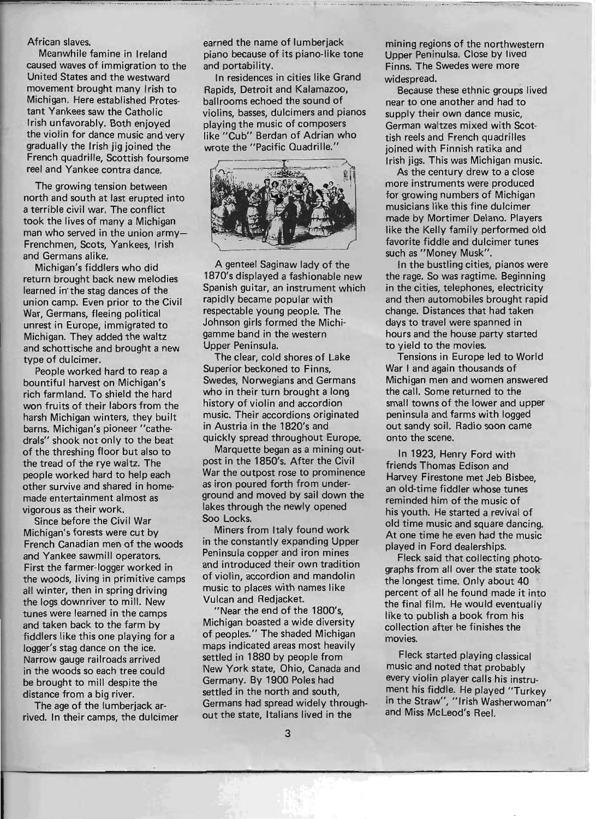### African slaves.

Meanwhile famine in Ireland caused waves of immigration to the United States and the westward movement brought many Irish to Michigan. Here established Protestant Yankees saw the Catholic Irish unfavorably. Both enjoyed the violin for dance music and very gradually the Irish jig joined the French quadrille, Scottish foursome reel and Yankee contra dance.

The growing tension between north and south at last erupted into a terrible civil war. The conflict took the lives of many a Michigan man who served in the union army-Frenchmen, Scots, Yankees, Irish and Germans alike.

Michigan's fiddlers who did return brought back new melodies learned in' the stag dances of the union camp. Even prior to the Civil War, Germans, fleeing political unrest in Europe, immigrated to Michigan. They added the waltz and schottische and brought a new type of dulcimer.

People worked hard to reap a bountiful harvest on Michigan's rich farmland. To shield the hard won fruits of their labors from the harsh Michigan winters, they built barns. Michigan's pioneer "cathedrals" shook not only to the beat of the threshing floor but also to the tread of the rye waltz. The people worked hard to help each other survive and shared in homemade entertainment almost as vigorous as their work.

Since before the Civil War Michigan's forests were cut by French Canadian men of the woods and Yankee sawmill operators. First the farmer-logger worked in the woods, Jiving in primitive camps all winter, then in spring driving the logs downriver to mill. New tunes were learned in the camps and taken back to the farm by fiddlers like this one playing for a logger's stag dance on the ice. Narrow gauge railroads arrived in the woods so each tree could be brought to mill despite the distance from a big river.

The age of the lumberjack arrived. In their camps, the dulcimer earned the name of lumberjack piano because of its piano-like tone and portability.

In residences in cities like Grand Rapids, Detroit and Kalamazoo, ballrooms echoed the sound of violins, basses, dulcimers and pianos playing the music of composers like "Cub" Berdan of Adrian who wrote the "Pacific Quadrille."



A genteel Saginaw lady of the 1870's displayed a fashionable new Spanish guitar, an instrument which rapidly became popular with respectable young people. The Johnson girls formed the Michigamme band in the western Upper Peninsula.

The clear, cold shores of Lake Superior beckoned to Finns, Swedes, Norwegians and Germans who in their turn brought a long history of violin and accordion music. Their accordions originated in Austria in the 1820's and quickly spread throughout Europe.

Marquette began as a mining outpost in the 1850's. After the Civil War the outpost rose to prominence as iron poured forth from underground and moved by sail down the lakes through the newly opened Soo Locks.

Miners from Italy found work in the constantly expanding Upper Peninsula copper and iron mines and introduced their own tradition of violin, accordion and mandolin music to places with names like Vulcan and Redjacket.

"Near the end of the 1800's, Michigan boasted a wide diversity of peoples." The shaded Michigan maps indicated areas most heavily settled in 1880 by people from New York state, Ohio, Canada and Germany. By 1900 Poles had settled in the north and south, Germans had spread widely throughout the state, Italians lived in the

mining regions of the northwestern Upper Peninulsa. Close by lived Finns. The Swedes were more widespread.

Because these ethnic groups lived near to one another and had to supply their own dance music. German waltzes mixed with Scottish reels and French quadrilles joined with Finnish ratika and Irish jigs. This was Michigan music.

As the century drew to a close more instruments were produced for growing numbers of Michigan musicians like this fine dulcimer made by Mortimer Delano. Players like the Kelly family performed old favorite fiddle and dulcimer tunes such as "Money Musk".

In the bustling cities, pianos were the rage. So was ragtime. Beginning in the cities, telephones, electricity and then automobiles brought rapid change. Distances that had taken days to travel were spanned in hours and the house party started to yield to the movies.

Tensions in Europe led to World War I and again thousands of Michigan men and women answered the call. Some returned to the small towns of the lower and upper peninsula and farms with logged out sandy soil. Radio soon came onto the scene.

In 1923, Henry Ford with friends Thomas Edison and Harvey Firestone met Jeb Bisbee, an old-time fiddler whose tunes reminded him of the music of his youth. He started a revival of old time music and square dancing. At one time he even had the music played in Ford dealerships.

Fleck said that collecting photographs from all over the state took the longest time. Only about 40 percent of all he found made it into the final film. He would eventually like to publish a book from his collection after he finishes the movies.

Fleck started playing classical music and noted that probably every violin player calls his instru ment his fiddle. He played "Turkey in the Straw", "Irish Washerwoman" and Miss McLeod's Reel.